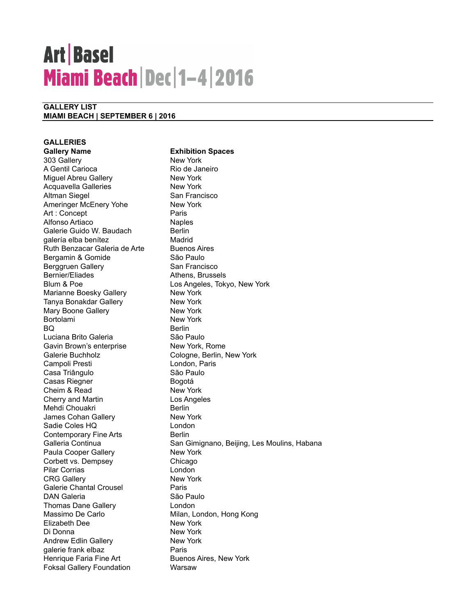# **Art Basel Miami Beach Dec 1-4 2016**

### **GALLERY LIST MIAMI BEACH | SEPTEMBER 6 | 2016**

**GALLERIES Gallery Name Exhibition Spaces** 303 Gallery New York A Gentil Carioca Rio de Janeiro Miguel Abreu Gallery New York Acquavella Galleries New York Altman Siegel San Francisco Ameringer McEnery Yohe New York Art : Concept Paris Alfonso Artiaco Naples Galerie Guido W. Baudach Berlin galería elba benítez Madrid Ruth Benzacar Galeria de Arte Buenos Aires Bergamin & Gomide São Paulo Berggruen Gallery San Francisco Bernier/Eliades **Athens**, Brussels Blum & Poe Los Angeles, Tokyo, New York Marianne Boesky Gallery New York Tanya Bonakdar Gallery New York Mary Boone Gallery New York Bortolami New York BQ Berlin Luciana Brito Galeria **National São Paulo** Gavin Brown's enterprise New York, Rome Galerie Buchholz Cologne, Berlin, New York Campoli Presti **London**, Paris Casa Triângulo **São Paulo** Casas Riegner **Bogotá** Cheim & Read New York Cherry and Martin Los Angeles Mehdi Chouakri **Berlin** James Cohan Gallery New York Sadie Coles HQ London Contemporary Fine Arts **Berlin** Paula Cooper Gallery New York Corbett vs. Dempsey Chicago Pilar Corrias **London** CRG Gallery New York Galerie Chantal Crousel **Paris** DAN Galeria **National São Paulo** Thomas Dane Gallery **London** Massimo De Carlo **Milan, London, Hong Kong** Elizabeth Dee New York Di Donna New York Andrew Edlin Gallery New York galerie frank elbaz **Paris** Paris Henrique Faria Fine Art Buenos Aires, New York Foksal Gallery Foundation Warsaw

Galleria Continua **San Gimignano, Beijing, Les Moulins, Habana**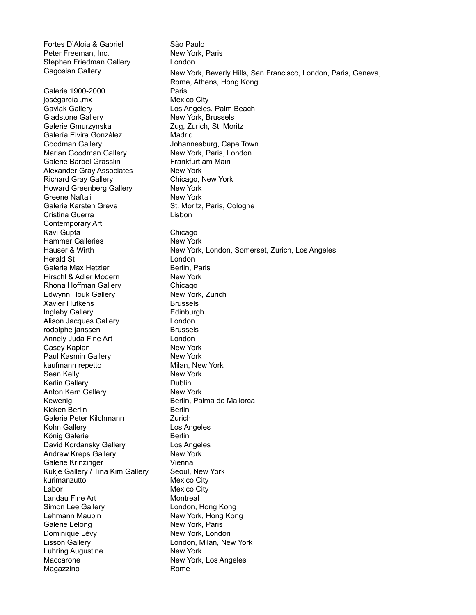Fortes D'Aloia & Gabriel São Paulo Peter Freeman, Inc. New York, Paris Stephen Friedman Gallery London Gagosian Gallery Galerie 1900-2000 Paris joségarcía , mx Mexico City Gavlak Gallery Los Angeles, Palm Beach Gladstone Gallery New York, Brussels Galerie Gmurzynska<br>
Zug, Zurich, St. Moritz Galería Elvira González **Madrid** Goodman Gallery **Cape Town** Johannesburg, Cape Town Marian Goodman Gallery New York, Paris, London Galerie Bärbel Grässlin Frankfurt am Main Alexander Gray Associates New York Richard Gray Gallery Chicago, New York Howard Greenberg Gallery New York Greene Naftali New York Galerie Karsten Greve St. Moritz, Paris, Cologne Cristina Guerra Contemporary Art Kavi Gupta **Chicago** Hammer Galleries New York Herald St London Galerie Max Hetzler **Berlin**, Paris Hirschl & Adler Modern New York Rhona Hoffman Gallery Chicago Edwynn Houk Gallery New York, Zurich Xavier Hufkens Brussels Ingleby Gallery **Edinburgh** Alison Jacques Gallery **London** rodolphe janssen Brussels Annely Juda Fine Art London Casey Kaplan New York Paul Kasmin Gallery New York kaufmann repetto Milan, New York Sean Kelly New York Kerlin Gallery **Dublin** Anton Kern Gallery New York Kewenig **Berlin**, Palma de Mallorca Kicken Berlin Berlin Berlin Galerie Peter Kilchmann Zurich Kohn Gallery **Los Angeles** König Galerie Berlin David Kordansky Gallery **Los Angeles** Andrew Kreps Gallery New York Galerie Krinzinger Vienna Kukje Gallery / Tina Kim Gallery Seoul, New York kurimanzutto Mexico City Labor Mexico City Landau Fine Art Montreal Simon Lee Gallery **London**, Hong Kong Lehmann Maupin New York, Hong Kong Galerie Lelong New York, Paris Dominique Lévy New York, London Lisson Gallery **London, Milan, New York** Luhring Augustine New York Maccarone **New York, Los Angeles** Magazzino Rome

Lisbon Hauser & Wirth New York, London, Somerset, Zurich, Los Angeles New York, Beverly Hills, San Francisco, London, Paris, Geneva, Rome, Athens, Hong Kong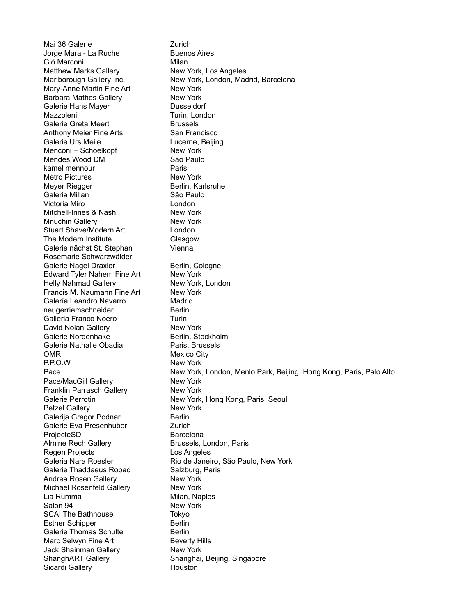Mai 36 Galerie **Zurich** Jorge Mara - La Ruche Buenos Aires Gió Marconi **Milan** Matthew Marks Gallery New York, Los Angeles Marlborough Gallery Inc. New York, London, Madrid, Barcelona Mary-Anne Martin Fine Art New York Barbara Mathes Gallery New York Galerie Hans Mayer **Dusseldorf** Mazzoleni Turin, London Galerie Greta Meert Brussels Anthony Meier Fine Arts San Francisco Galerie Urs Meile **Lucerne**, Beijing Menconi + Schoelkopf New York Mendes Wood DM São Paulo kamel mennour **Paris** Metro Pictures New York Meyer Riegger Berlin, Karlsruhe Galeria Millan **São Paulo** Victoria Miro **London** Mitchell-Innes & Nash New York Mnuchin Gallery New York Stuart Shave/Modern Art London The Modern Institute Glasgow Galerie nächst St. Stephan Rosemarie Schwarzwälder Vienna Galerie Nagel Draxler Berlin, Cologne Edward Tyler Nahem Fine Art New York Helly Nahmad Gallery New York, London Francis M. Naumann Fine Art New York Galería Leandro Navarro Madrid neugerriemschneider Berlin Galleria Franco Noero **Turin** David Nolan Gallery New York Galerie Nordenhake Berlin, Stockholm Galerie Nathalie Obadia Paris, Brussels OMR Mexico City P.P.O.W New York Pace Pace/MacGill Gallery New York Franklin Parrasch Gallery New York Galerie Perrotin New York, Hong Kong, Paris, Seoul Petzel Gallery New York Galerija Gregor Podnar Berlin Galerie Eva Presenhuber Zurich ProjecteSD Barcelona Almine Rech Gallery **Brussels**, London, Paris Regen Projects Los Angeles Galeria Nara Roesler Rio de Janeiro, São Paulo, New York Galerie Thaddaeus Ropac Salzburg, Paris Andrea Rosen Gallery New York Michael Rosenfeld Gallery New York Lia Rumma **Milan**, Naples Salon 94 New York SCAI The Bathhouse Tokyo Esther Schipper Berlin Galerie Thomas Schulte **Berlin** Marc Selwyn Fine Art Beverly Hills Jack Shainman Gallery New York ShanghART Gallery Shanghai, Beijing, Singapore Sicardi Gallery **Houston** New York, London, Menlo Park, Beijing, Hong Kong, Paris, Palo Alto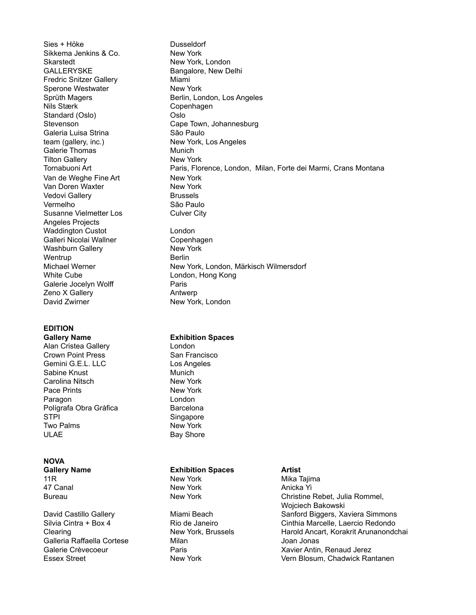Sies + Höke Dusseldorf Sikkema Jenkins & Co. New York Skarstedt New York, London GALLERYSKE Bangalore, New Delhi Fredric Snitzer Gallery Miami Sperone Westwater New York Nils Stærk Copenhagen Standard (Oslo) **Oslo** Galeria Luisa Strina **São Paulo** team (gallery, inc.) New York, Los Angeles Galerie Thomas Munich Tilton Gallery **New York** New York Tornabuoni Art Van de Weghe Fine Art New York Van Doren Waxter New York Vedovi Gallery **Brussels** Vermelho São Paulo Susanne Vielmetter Los Angeles Projects Waddington Custot **London** Galleri Nicolai Wallner **Copenhagen** Washburn Gallery New York Wentrup **Berlin** White Cube **London**, Hong Kong Galerie Jocelyn Wolff **Paris** Paris Zeno X Gallery **Antwerp** David Zwirner New York, London

### **EDITION**

Alan Cristea Gallery London Crown Point Press San Francisco Gemini G.E.L. LLC Los Angeles Sabine Knust Munich

Carolina Nitsch New York Pace Prints New York Paragon London Polígrafa Obra Gràfica **Barcelona** STPI Singapore Two Palms New York ULAE Bay Shore

### **NOVA**

**Gallery Name Exhibition Spaces Artist** 11R **New York** Mika Tajima 47 Canal **New York** Anicka Yi

Galleria Raffaella Cortese Milan Joan Jonas

Sprüth Magers **Berlin, London, Los Angeles** Stevenson Cape Town, Johannesburg Culver City Michael Werner New York, London, Märkisch Wilmersdorf Paris, Florence, London, Milan, Forte dei Marmi, Crans Montana

### **Gallery Name Exhibition Spaces**

Bureau **New York** Christine Rebet, Julia Rommel, Wojciech Bakowski David Castillo Gallery **Miami Beach** Sanford Biggers, Xaviera Simmons Silvia Cintra + Box 4 Rio de Janeiro Cinthia Marcelle, Laercio Redondo Clearing New York, Brussels Harold Ancart, Korakrit Arunanondchai Galerie Crèvecoeur **Calerie Crèvecoeur** Paris **Neumannie Antin**, Renaud Jerez Essex Street **New York Charlotte Charlotte Vern Blosum**, Chadwick Rantanen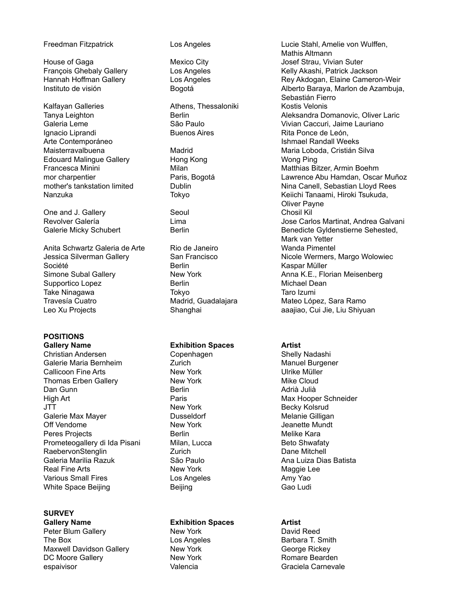Kalfayan Galleries **Athens, Thessaloniki** Kostis Velonis Ignacio Liprandi Arte Contemporáneo Edouard Malingue Gallery Hong Kong Wong Ping

One and J. Gallery **Seoul** Seoul Chosil Kill

Anita Schwartz Galeria de Arte Rio de Janeiro Wanda Pimentel Société **Berlin** Berlin Kaspar Müller Supportico Lopez Berlin Michael Dean Take Ninagawa **Tokyo** Tokyo Taro Izumi Travesía Cuatro Madrid, Guadalajara Mateo López, Sara Ramo Leo Xu Projects **Shanghai** aaajiao, Cui Jie, Liu Shiyuan

# **POSITIONS**

**Gallery Name Exhibition Spaces Artist** Christian Andersen Copenhagen Shelly Nadashi Galerie Maria Bernheim **Manuel Burgener** Zurich Manuel Burgener Callicoon Fine Arts **New York School Callicoon Fine Arts** New York **New York** New York New York New York New York New York New York New York New York New York New York New York New York New York New York New York New York Thomas Erben Gallery New York Dan Gunn **Berlin** Berlin Berlin Adrià Julià High Art Paris Max Hooper Schneider JTT New York Becky Kolsrud Galerie Max Mayer **Markow Controllet Controllet Controllet Controllet Controllet Controllet Controllet Controlle** Off Vendome New York Jeanette Mundt Peres Projects **Berlin** Berlin Melike Kara Prometeogallery di Ida Pisani Milan, Lucca Beto Shwafaty RaebervonStenglin **Nationally** Zurich Dane Mitchell Dane Mitchell Galeria Marilia Razuk **São Paulo** Batista Ana Luiza Dias Batista Real Fine Arts New York New York Maggie Lee Various Small Fires **Los Angeles** Los Angeles Amy Yao White Space Beijing **Beijing** Beijing Gao Ludi

## **SURVEY**

**Gallery Name Exhibition Spaces Artist** Peter Blum Gallery **New York** New York David Reed The Box **Los Angeles** Barbara T. Smith Maxwell Davidson Gallery **New York Callery** New York **George Rickey** DC Moore Gallery **New York New York** Romare Bearden espaivisor **Carnevale** Valencia Communication Graciela Carnevale

Buenos Aires **Rita Ponce de León**,

Freedman Fitzpatrick Los Angeles Lucie Stahl, Amelie von Wulffen, Mathis Altmann House of Gaga **Mexico City Mexico City Mexico City Josef Strau, Vivian Suter** Francois Ghebaly Gallery **Los Angeles** Kelly Akashi, Patrick Jackson Hannah Hoffman Gallery Los Angeles Rey Akdogan, Elaine Cameron-Weir Instituto de visión **Bogotá** Bogotá **Alberto Baraya, Marlon de Azambuja**, Sebastián Fierro Tanya Leighton **Berlin** Berlin Berlin Aleksandra Domanovic, Oliver Laric Galeria Leme **São Paulo** Caccuri, Jaime Lauriano Caleria Leme Ishmael Randall Weeks Maisterravalbuena Madrid Maria Loboda, Cristián Silva Francesca Minini Milan Matthias Bitzer, Armin Boehm mor charpentier **Paris, Bogotá** Lawrence Abu Hamdan, Oscar Muñoz mother's tankstation limited **Dublin** Dublin Nina Canell, Sebastian Lloyd Rees Nanzuka Tokyo Tokyo Keiichi Tanaami, Hiroki Tsukuda, Oliver Payne Revolver Galería **Lima** Lima Lima de Lima Jose Carlos Martinat, Andrea Galvani Galerie Micky Schubert **Berlin** Berlin Benedicte Gyldenstierne Sehested, Mark van Yetter Jessica Silverman Gallery **San Francisco** Nicole Wermers, Margo Wolowiec Simone Subal Gallery **New York Anna K.E., Florian Meisenberg** Anna K.E., Florian Meisenberg